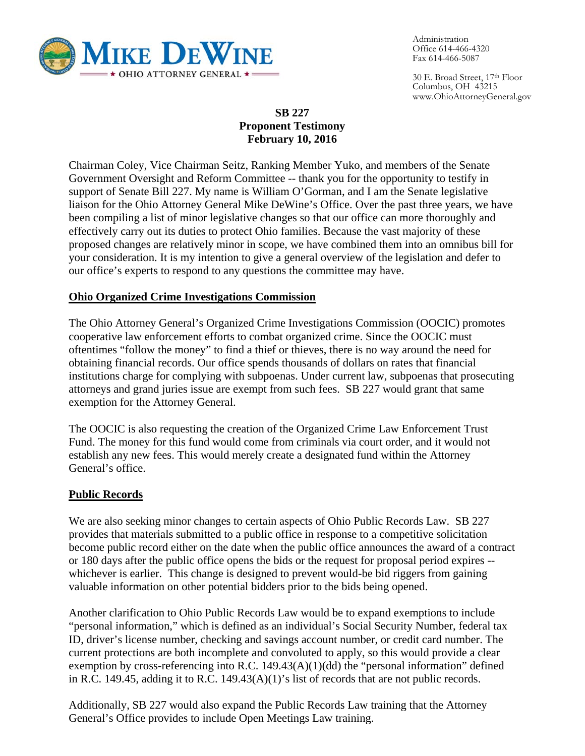

Administration Office 614-466-4320 Fax 614-466-5087

30 E. Broad Street, 17th Floor Columbus, OH 43215 www.OhioAttorneyGeneral.gov

## **SB 227 Proponent Testimony February 10, 2016**

Chairman Coley, Vice Chairman Seitz, Ranking Member Yuko, and members of the Senate Government Oversight and Reform Committee -- thank you for the opportunity to testify in support of Senate Bill 227. My name is William O'Gorman, and I am the Senate legislative liaison for the Ohio Attorney General Mike DeWine's Office. Over the past three years, we have been compiling a list of minor legislative changes so that our office can more thoroughly and effectively carry out its duties to protect Ohio families. Because the vast majority of these proposed changes are relatively minor in scope, we have combined them into an omnibus bill for your consideration. It is my intention to give a general overview of the legislation and defer to our office's experts to respond to any questions the committee may have.

#### **Ohio Organized Crime Investigations Commission**

The Ohio Attorney General's Organized Crime Investigations Commission (OOCIC) promotes cooperative law enforcement efforts to combat organized crime. Since the OOCIC must oftentimes "follow the money" to find a thief or thieves, there is no way around the need for obtaining financial records. Our office spends thousands of dollars on rates that financial institutions charge for complying with subpoenas. Under current law, subpoenas that prosecuting attorneys and grand juries issue are exempt from such fees. SB 227 would grant that same exemption for the Attorney General.

The OOCIC is also requesting the creation of the Organized Crime Law Enforcement Trust Fund. The money for this fund would come from criminals via court order, and it would not establish any new fees. This would merely create a designated fund within the Attorney General's office.

#### **Public Records**

We are also seeking minor changes to certain aspects of Ohio Public Records Law. SB 227 provides that materials submitted to a public office in response to a competitive solicitation become public record either on the date when the public office announces the award of a contract or 180 days after the public office opens the bids or the request for proposal period expires - whichever is earlier. This change is designed to prevent would-be bid riggers from gaining valuable information on other potential bidders prior to the bids being opened.

Another clarification to Ohio Public Records Law would be to expand exemptions to include "personal information," which is defined as an individual's Social Security Number, federal tax ID, driver's license number, checking and savings account number, or credit card number. The current protections are both incomplete and convoluted to apply, so this would provide a clear exemption by cross-referencing into R.C. 149.43(A)(1)(dd) the "personal information" defined in R.C. 149.45, adding it to R.C. 149.43(A)(1)'s list of records that are not public records.

Additionally, SB 227 would also expand the Public Records Law training that the Attorney General's Office provides to include Open Meetings Law training.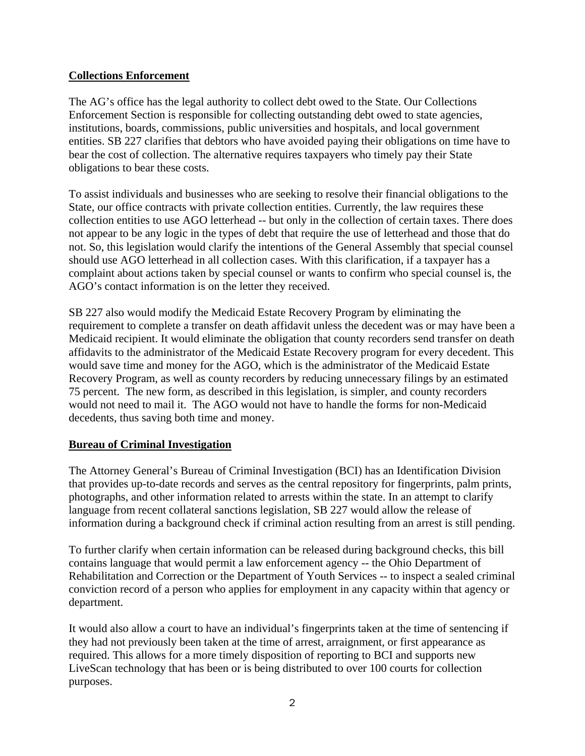#### **Collections Enforcement**

The AG's office has the legal authority to collect debt owed to the State. Our Collections Enforcement Section is responsible for collecting outstanding debt owed to state agencies, institutions, boards, commissions, public universities and hospitals, and local government entities. SB 227 clarifies that debtors who have avoided paying their obligations on time have to bear the cost of collection. The alternative requires taxpayers who timely pay their State obligations to bear these costs.

To assist individuals and businesses who are seeking to resolve their financial obligations to the State, our office contracts with private collection entities. Currently, the law requires these collection entities to use AGO letterhead -- but only in the collection of certain taxes. There does not appear to be any logic in the types of debt that require the use of letterhead and those that do not. So, this legislation would clarify the intentions of the General Assembly that special counsel should use AGO letterhead in all collection cases. With this clarification, if a taxpayer has a complaint about actions taken by special counsel or wants to confirm who special counsel is, the AGO's contact information is on the letter they received.

SB 227 also would modify the Medicaid Estate Recovery Program by eliminating the requirement to complete a transfer on death affidavit unless the decedent was or may have been a Medicaid recipient. It would eliminate the obligation that county recorders send transfer on death affidavits to the administrator of the Medicaid Estate Recovery program for every decedent. This would save time and money for the AGO, which is the administrator of the Medicaid Estate Recovery Program, as well as county recorders by reducing unnecessary filings by an estimated 75 percent. The new form, as described in this legislation, is simpler, and county recorders would not need to mail it. The AGO would not have to handle the forms for non-Medicaid decedents, thus saving both time and money.

#### **Bureau of Criminal Investigation**

The Attorney General's Bureau of Criminal Investigation (BCI) has an Identification Division that provides up-to-date records and serves as the central repository for fingerprints, palm prints, photographs, and other information related to arrests within the state. In an attempt to clarify language from recent collateral sanctions legislation, SB 227 would allow the release of information during a background check if criminal action resulting from an arrest is still pending.

To further clarify when certain information can be released during background checks, this bill contains language that would permit a law enforcement agency -- the Ohio Department of Rehabilitation and Correction or the Department of Youth Services -- to inspect a sealed criminal conviction record of a person who applies for employment in any capacity within that agency or department.

It would also allow a court to have an individual's fingerprints taken at the time of sentencing if they had not previously been taken at the time of arrest, arraignment, or first appearance as required. This allows for a more timely disposition of reporting to BCI and supports new LiveScan technology that has been or is being distributed to over 100 courts for collection purposes.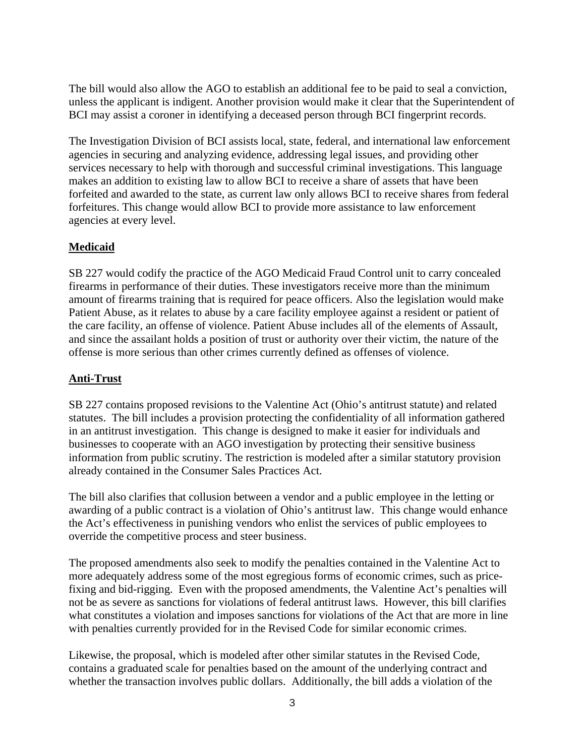The bill would also allow the AGO to establish an additional fee to be paid to seal a conviction, unless the applicant is indigent. Another provision would make it clear that the Superintendent of BCI may assist a coroner in identifying a deceased person through BCI fingerprint records.

The Investigation Division of BCI assists local, state, federal, and international law enforcement agencies in securing and analyzing evidence, addressing legal issues, and providing other services necessary to help with thorough and successful criminal investigations. This language makes an addition to existing law to allow BCI to receive a share of assets that have been forfeited and awarded to the state, as current law only allows BCI to receive shares from federal forfeitures. This change would allow BCI to provide more assistance to law enforcement agencies at every level.

# **Medicaid**

SB 227 would codify the practice of the AGO Medicaid Fraud Control unit to carry concealed firearms in performance of their duties. These investigators receive more than the minimum amount of firearms training that is required for peace officers. Also the legislation would make Patient Abuse, as it relates to abuse by a care facility employee against a resident or patient of the care facility, an offense of violence. Patient Abuse includes all of the elements of Assault, and since the assailant holds a position of trust or authority over their victim, the nature of the offense is more serious than other crimes currently defined as offenses of violence.

#### **Anti-Trust**

SB 227 contains proposed revisions to the Valentine Act (Ohio's antitrust statute) and related statutes. The bill includes a provision protecting the confidentiality of all information gathered in an antitrust investigation. This change is designed to make it easier for individuals and businesses to cooperate with an AGO investigation by protecting their sensitive business information from public scrutiny. The restriction is modeled after a similar statutory provision already contained in the Consumer Sales Practices Act.

The bill also clarifies that collusion between a vendor and a public employee in the letting or awarding of a public contract is a violation of Ohio's antitrust law. This change would enhance the Act's effectiveness in punishing vendors who enlist the services of public employees to override the competitive process and steer business.

The proposed amendments also seek to modify the penalties contained in the Valentine Act to more adequately address some of the most egregious forms of economic crimes, such as pricefixing and bid-rigging. Even with the proposed amendments, the Valentine Act's penalties will not be as severe as sanctions for violations of federal antitrust laws. However, this bill clarifies what constitutes a violation and imposes sanctions for violations of the Act that are more in line with penalties currently provided for in the Revised Code for similar economic crimes.

Likewise, the proposal, which is modeled after other similar statutes in the Revised Code, contains a graduated scale for penalties based on the amount of the underlying contract and whether the transaction involves public dollars. Additionally, the bill adds a violation of the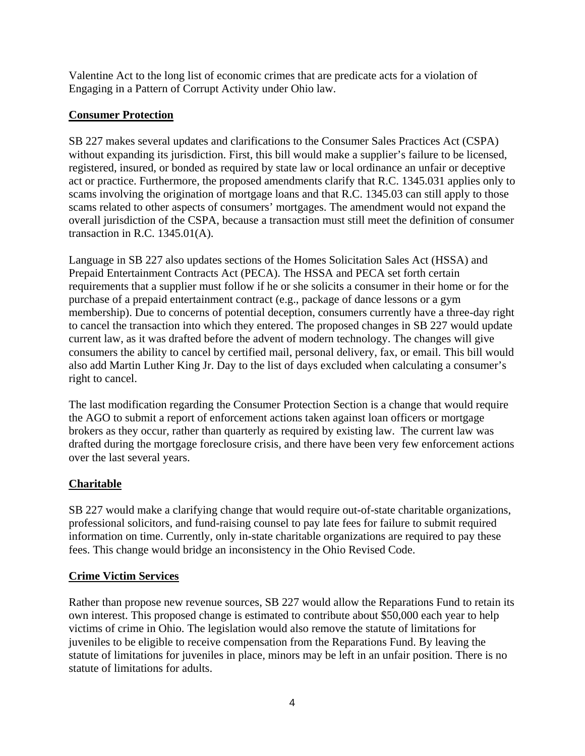Valentine Act to the long list of economic crimes that are predicate acts for a violation of Engaging in a Pattern of Corrupt Activity under Ohio law.

# **Consumer Protection**

SB 227 makes several updates and clarifications to the Consumer Sales Practices Act (CSPA) without expanding its jurisdiction. First, this bill would make a supplier's failure to be licensed, registered, insured, or bonded as required by state law or local ordinance an unfair or deceptive act or practice. Furthermore, the proposed amendments clarify that R.C. 1345.031 applies only to scams involving the origination of mortgage loans and that R.C. 1345.03 can still apply to those scams related to other aspects of consumers' mortgages. The amendment would not expand the overall jurisdiction of the CSPA, because a transaction must still meet the definition of consumer transaction in R.C. 1345.01(A).

Language in SB 227 also updates sections of the Homes Solicitation Sales Act (HSSA) and Prepaid Entertainment Contracts Act (PECA). The HSSA and PECA set forth certain requirements that a supplier must follow if he or she solicits a consumer in their home or for the purchase of a prepaid entertainment contract (e.g., package of dance lessons or a gym membership). Due to concerns of potential deception, consumers currently have a three-day right to cancel the transaction into which they entered. The proposed changes in SB 227 would update current law, as it was drafted before the advent of modern technology. The changes will give consumers the ability to cancel by certified mail, personal delivery, fax, or email. This bill would also add Martin Luther King Jr. Day to the list of days excluded when calculating a consumer's right to cancel.

The last modification regarding the Consumer Protection Section is a change that would require the AGO to submit a report of enforcement actions taken against loan officers or mortgage brokers as they occur, rather than quarterly as required by existing law. The current law was drafted during the mortgage foreclosure crisis, and there have been very few enforcement actions over the last several years.

# **Charitable**

SB 227 would make a clarifying change that would require out-of-state charitable organizations, professional solicitors, and fund-raising counsel to pay late fees for failure to submit required information on time. Currently, only in-state charitable organizations are required to pay these fees. This change would bridge an inconsistency in the Ohio Revised Code.

#### **Crime Victim Services**

Rather than propose new revenue sources, SB 227 would allow the Reparations Fund to retain its own interest. This proposed change is estimated to contribute about \$50,000 each year to help victims of crime in Ohio. The legislation would also remove the statute of limitations for juveniles to be eligible to receive compensation from the Reparations Fund. By leaving the statute of limitations for juveniles in place, minors may be left in an unfair position. There is no statute of limitations for adults.